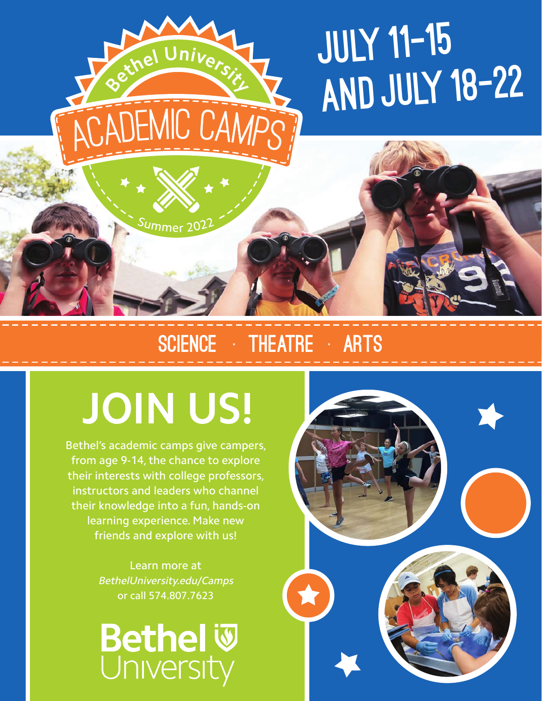

### Summer 202

**<sup>B</sup>ethe<sup>l</sup> <sup>U</sup>niversit<sup>y</sup>**

## SCIENCE • THEATRE • ARTS

# **JOIN US!**

Bethel's academic camps give campers, from age 9-14, the chance to explore their interests with college professors, instructors and leaders who channel their knowledge into a fun, hands-on learning experience. Make new friends and explore with us!

> Learn more at BethelUniversity.edu/Camps or call 574.807.7623

**Bethel W**<br>University